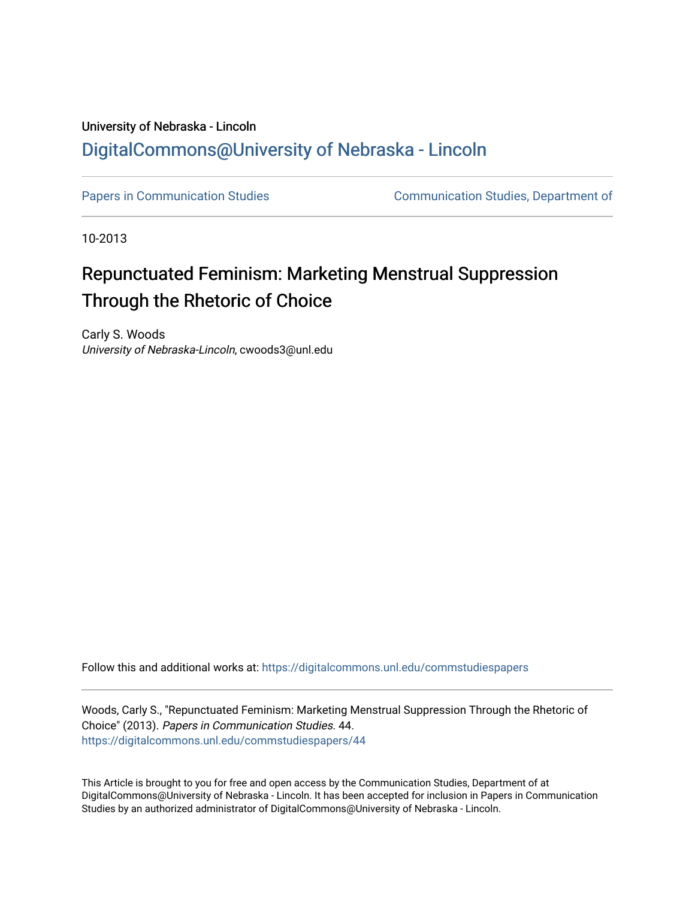## University of Nebraska - Lincoln [DigitalCommons@University of Nebraska - Lincoln](https://digitalcommons.unl.edu/)

[Papers in Communication Studies](https://digitalcommons.unl.edu/commstudiespapers) **Communication Studies** Communication Studies, Department of

10-2013

# Repunctuated Feminism: Marketing Menstrual Suppression Through the Rhetoric of Choice

Carly S. Woods University of Nebraska-Lincoln, cwoods3@unl.edu

Follow this and additional works at: [https://digitalcommons.unl.edu/commstudiespapers](https://digitalcommons.unl.edu/commstudiespapers?utm_source=digitalcommons.unl.edu%2Fcommstudiespapers%2F44&utm_medium=PDF&utm_campaign=PDFCoverPages) 

Woods, Carly S., "Repunctuated Feminism: Marketing Menstrual Suppression Through the Rhetoric of Choice" (2013). Papers in Communication Studies. 44. [https://digitalcommons.unl.edu/commstudiespapers/44](https://digitalcommons.unl.edu/commstudiespapers/44?utm_source=digitalcommons.unl.edu%2Fcommstudiespapers%2F44&utm_medium=PDF&utm_campaign=PDFCoverPages) 

This Article is brought to you for free and open access by the Communication Studies, Department of at DigitalCommons@University of Nebraska - Lincoln. It has been accepted for inclusion in Papers in Communication Studies by an authorized administrator of DigitalCommons@University of Nebraska - Lincoln.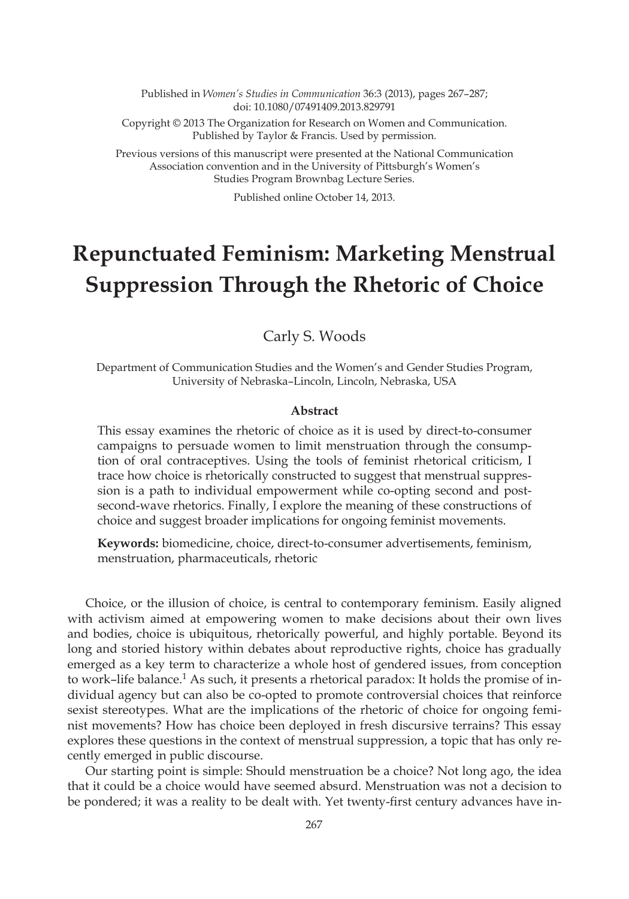Published in *Women's Studies in Communication* 36:3 (2013), pages 267–287; doi: 10.1080/07491409.2013.829791

Copyright © 2013 The Organization for Research on Women and Communication. Published by Taylor & Francis. Used by permission.

Previous versions of this manuscript were presented at the National Communication Association convention and in the University of Pittsburgh's Women's Studies Program Brownbag Lecture Series.

Published online October 14, 2013.

# **Repunctuated Feminism: Marketing Menstrual Suppression Through the Rhetoric of Choice**

## Carly S. Woods

Department of Communication Studies and the Women's and Gender Studies Program, University of Nebraska–Lincoln, Lincoln, Nebraska, USA

#### **Abstract**

This essay examines the rhetoric of choice as it is used by direct-to-consumer campaigns to persuade women to limit menstruation through the consumption of oral contraceptives. Using the tools of feminist rhetorical criticism, I trace how choice is rhetorically constructed to suggest that menstrual suppression is a path to individual empowerment while co-opting second and postsecond-wave rhetorics. Finally, I explore the meaning of these constructions of choice and suggest broader implications for ongoing feminist movements.

**Keywords:** biomedicine, choice, direct-to-consumer advertisements, feminism, menstruation, pharmaceuticals, rhetoric

Choice, or the illusion of choice, is central to contemporary feminism. Easily aligned with activism aimed at empowering women to make decisions about their own lives and bodies, choice is ubiquitous, rhetorically powerful, and highly portable. Beyond its long and storied history within debates about reproductive rights, choice has gradually emerged as a key term to characterize a whole host of gendered issues, from conception to work–life balance.<sup>1</sup> As such, it presents a rhetorical paradox: It holds the promise of individual agency but can also be co-opted to promote controversial choices that reinforce sexist stereotypes. What are the implications of the rhetoric of choice for ongoing feminist movements? How has choice been deployed in fresh discursive terrains? This essay explores these questions in the context of menstrual suppression, a topic that has only recently emerged in public discourse.

Our starting point is simple: Should menstruation be a choice? Not long ago, the idea that it could be a choice would have seemed absurd. Menstruation was not a decision to be pondered; it was a reality to be dealt with. Yet twenty-first century advances have in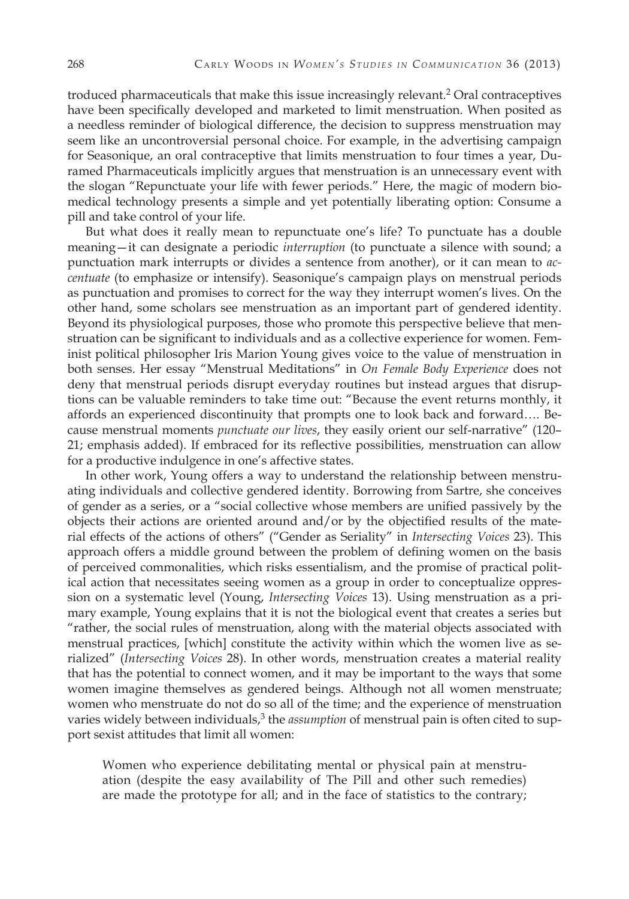troduced pharmaceuticals that make this issue increasingly relevant.<sup>2</sup> Oral contraceptives have been specifically developed and marketed to limit menstruation. When posited as a needless reminder of biological difference, the decision to suppress menstruation may seem like an uncontroversial personal choice. For example, in the advertising campaign for Seasonique, an oral contraceptive that limits menstruation to four times a year, Duramed Pharmaceuticals implicitly argues that menstruation is an unnecessary event with the slogan "Repunctuate your life with fewer periods." Here, the magic of modern biomedical technology presents a simple and yet potentially liberating option: Consume a pill and take control of your life.

But what does it really mean to repunctuate one's life? To punctuate has a double meaning—it can designate a periodic *interruption* (to punctuate a silence with sound; a punctuation mark interrupts or divides a sentence from another), or it can mean to *accentuate* (to emphasize or intensify). Seasonique's campaign plays on menstrual periods as punctuation and promises to correct for the way they interrupt women's lives. On the other hand, some scholars see menstruation as an important part of gendered identity. Beyond its physiological purposes, those who promote this perspective believe that menstruation can be significant to individuals and as a collective experience for women. Feminist political philosopher Iris Marion Young gives voice to the value of menstruation in both senses. Her essay "Menstrual Meditations" in *On Female Body Experience* does not deny that menstrual periods disrupt everyday routines but instead argues that disruptions can be valuable reminders to take time out: "Because the event returns monthly, it affords an experienced discontinuity that prompts one to look back and forward…. Because menstrual moments *punctuate our lives*, they easily orient our self-narrative" (120– 21; emphasis added). If embraced for its reflective possibilities, menstruation can allow for a productive indulgence in one's affective states.

In other work, Young offers a way to understand the relationship between menstruating individuals and collective gendered identity. Borrowing from Sartre, she conceives of gender as a series, or a "social collective whose members are unified passively by the objects their actions are oriented around and/or by the objectified results of the material effects of the actions of others" ("Gender as Seriality" in *Intersecting Voices* 23). This approach offers a middle ground between the problem of defining women on the basis of perceived commonalities, which risks essentialism, and the promise of practical political action that necessitates seeing women as a group in order to conceptualize oppression on a systematic level (Young, *Intersecting Voices* 13). Using menstruation as a primary example, Young explains that it is not the biological event that creates a series but "rather, the social rules of menstruation, along with the material objects associated with menstrual practices, [which] constitute the activity within which the women live as serialized" (*Intersecting Voices* 28). In other words, menstruation creates a material reality that has the potential to connect women, and it may be important to the ways that some women imagine themselves as gendered beings. Although not all women menstruate; women who menstruate do not do so all of the time; and the experience of menstruation varies widely between individuals,<sup>3</sup> the *assumption* of menstrual pain is often cited to support sexist attitudes that limit all women:

Women who experience debilitating mental or physical pain at menstruation (despite the easy availability of The Pill and other such remedies) are made the prototype for all; and in the face of statistics to the contrary;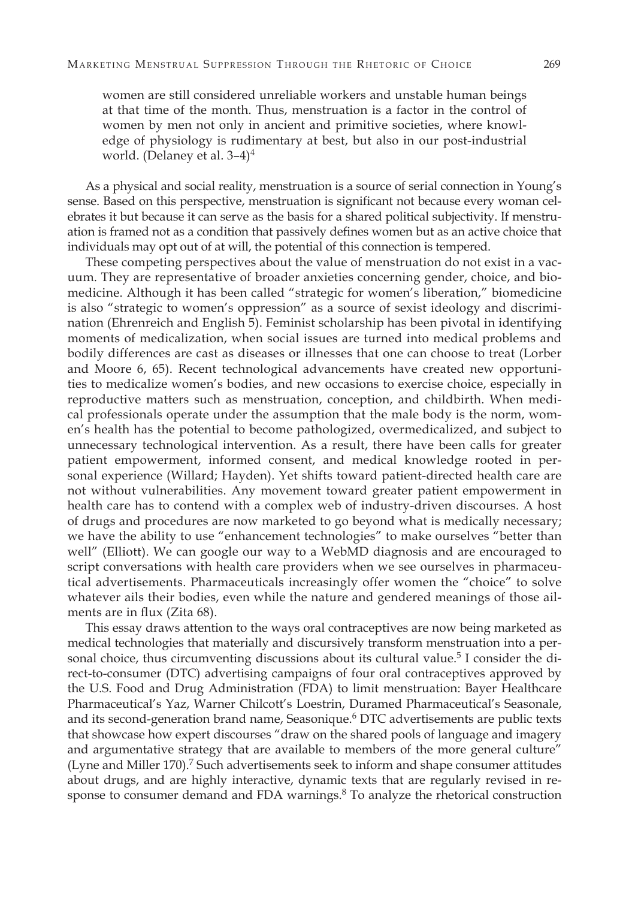women are still considered unreliable workers and unstable human beings at that time of the month. Thus, menstruation is a factor in the control of women by men not only in ancient and primitive societies, where knowledge of physiology is rudimentary at best, but also in our post-industrial world. (Delaney et al.  $3-4$ )<sup>4</sup>

As a physical and social reality, menstruation is a source of serial connection in Young's sense. Based on this perspective, menstruation is significant not because every woman celebrates it but because it can serve as the basis for a shared political subjectivity. If menstruation is framed not as a condition that passively defines women but as an active choice that individuals may opt out of at will, the potential of this connection is tempered.

These competing perspectives about the value of menstruation do not exist in a vacuum. They are representative of broader anxieties concerning gender, choice, and biomedicine. Although it has been called "strategic for women's liberation," biomedicine is also "strategic to women's oppression" as a source of sexist ideology and discrimination (Ehrenreich and English 5). Feminist scholarship has been pivotal in identifying moments of medicalization, when social issues are turned into medical problems and bodily differences are cast as diseases or illnesses that one can choose to treat (Lorber and Moore 6, 65). Recent technological advancements have created new opportunities to medicalize women's bodies, and new occasions to exercise choice, especially in reproductive matters such as menstruation, conception, and childbirth. When medical professionals operate under the assumption that the male body is the norm, women's health has the potential to become pathologized, overmedicalized, and subject to unnecessary technological intervention. As a result, there have been calls for greater patient empowerment, informed consent, and medical knowledge rooted in personal experience (Willard; Hayden). Yet shifts toward patient-directed health care are not without vulnerabilities. Any movement toward greater patient empowerment in health care has to contend with a complex web of industry-driven discourses. A host of drugs and procedures are now marketed to go beyond what is medically necessary; we have the ability to use "enhancement technologies" to make ourselves "better than well" (Elliott). We can google our way to a WebMD diagnosis and are encouraged to script conversations with health care providers when we see ourselves in pharmaceutical advertisements. Pharmaceuticals increasingly offer women the "choice" to solve whatever ails their bodies, even while the nature and gendered meanings of those ailments are in flux (Zita 68).

This essay draws attention to the ways oral contraceptives are now being marketed as medical technologies that materially and discursively transform menstruation into a personal choice, thus circumventing discussions about its cultural value.<sup>5</sup> I consider the direct-to-consumer (DTC) advertising campaigns of four oral contraceptives approved by the U.S. Food and Drug Administration (FDA) to limit menstruation: Bayer Healthcare Pharmaceutical's Yaz, Warner Chilcott's Loestrin, Duramed Pharmaceutical's Seasonale, and its second-generation brand name, Seasonique.<sup>6</sup> DTC advertisements are public texts that showcase how expert discourses "draw on the shared pools of language and imagery and argumentative strategy that are available to members of the more general culture" (Lyne and Miller  $170$ ).<sup>7</sup> Such advertisements seek to inform and shape consumer attitudes about drugs, and are highly interactive, dynamic texts that are regularly revised in response to consumer demand and FDA warnings.<sup>8</sup> To analyze the rhetorical construction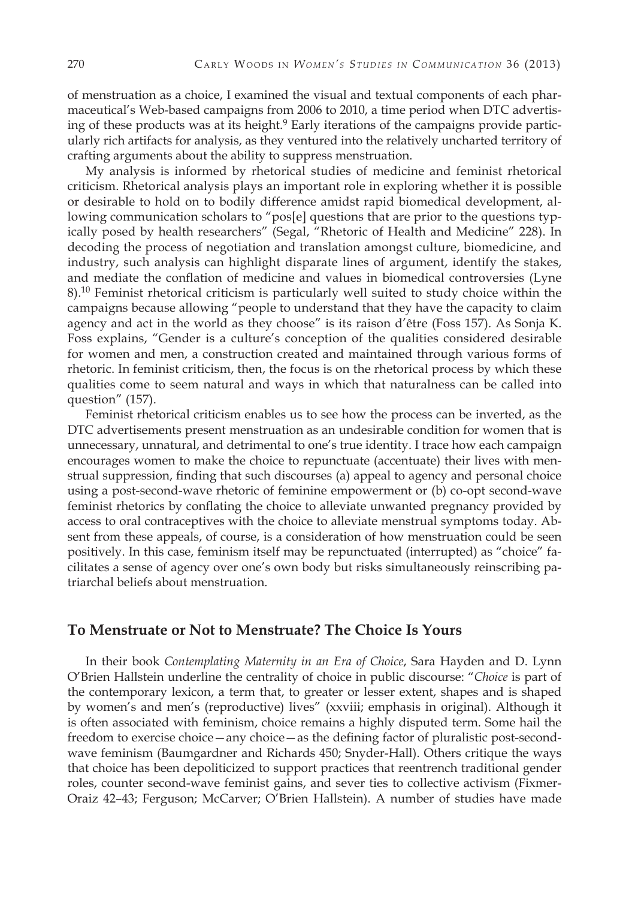of menstruation as a choice, I examined the visual and textual components of each pharmaceutical's Web-based campaigns from 2006 to 2010, a time period when DTC advertising of these products was at its height.<sup>9</sup> Early iterations of the campaigns provide particularly rich artifacts for analysis, as they ventured into the relatively uncharted territory of crafting arguments about the ability to suppress menstruation.

My analysis is informed by rhetorical studies of medicine and feminist rhetorical criticism. Rhetorical analysis plays an important role in exploring whether it is possible or desirable to hold on to bodily difference amidst rapid biomedical development, allowing communication scholars to "pos[e] questions that are prior to the questions typically posed by health researchers" (Segal, "Rhetoric of Health and Medicine" 228). In decoding the process of negotiation and translation amongst culture, biomedicine, and industry, such analysis can highlight disparate lines of argument, identify the stakes, and mediate the conflation of medicine and values in biomedical controversies (Lyne  $8$ <sup>10</sup> Feminist rhetorical criticism is particularly well suited to study choice within the campaigns because allowing "people to understand that they have the capacity to claim agency and act in the world as they choose" is its raison d'être (Foss 157). As Sonja K. Foss explains, "Gender is a culture's conception of the qualities considered desirable for women and men, a construction created and maintained through various forms of rhetoric. In feminist criticism, then, the focus is on the rhetorical process by which these qualities come to seem natural and ways in which that naturalness can be called into question" (157).

Feminist rhetorical criticism enables us to see how the process can be inverted, as the DTC advertisements present menstruation as an undesirable condition for women that is unnecessary, unnatural, and detrimental to one's true identity. I trace how each campaign encourages women to make the choice to repunctuate (accentuate) their lives with menstrual suppression, finding that such discourses (a) appeal to agency and personal choice using a post-second-wave rhetoric of feminine empowerment or (b) co-opt second-wave feminist rhetorics by conflating the choice to alleviate unwanted pregnancy provided by access to oral contraceptives with the choice to alleviate menstrual symptoms today. Absent from these appeals, of course, is a consideration of how menstruation could be seen positively. In this case, feminism itself may be repunctuated (interrupted) as "choice" facilitates a sense of agency over one's own body but risks simultaneously reinscribing patriarchal beliefs about menstruation.

### **To Menstruate or Not to Menstruate? The Choice Is Yours**

In their book *Contemplating Maternity in an Era of Choice*, Sara Hayden and D. Lynn O'Brien Hallstein underline the centrality of choice in public discourse: "*Choice* is part of the contemporary lexicon, a term that, to greater or lesser extent, shapes and is shaped by women's and men's (reproductive) lives" (xxviii; emphasis in original). Although it is often associated with feminism, choice remains a highly disputed term. Some hail the freedom to exercise choice—any choice—as the defining factor of pluralistic post-secondwave feminism (Baumgardner and Richards 450; Snyder-Hall). Others critique the ways that choice has been depoliticized to support practices that reentrench traditional gender roles, counter second-wave feminist gains, and sever ties to collective activism (Fixmer-Oraiz 42–43; Ferguson; McCarver; O'Brien Hallstein). A number of studies have made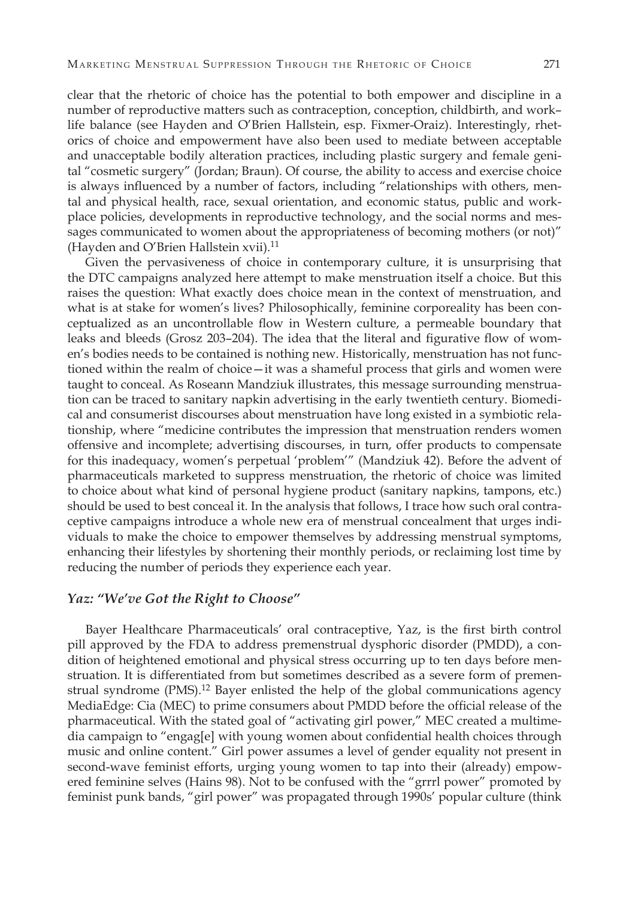clear that the rhetoric of choice has the potential to both empower and discipline in a number of reproductive matters such as contraception, conception, childbirth, and work– life balance (see Hayden and O'Brien Hallstein, esp. Fixmer-Oraiz). Interestingly, rhetorics of choice and empowerment have also been used to mediate between acceptable and unacceptable bodily alteration practices, including plastic surgery and female genital "cosmetic surgery" (Jordan; Braun). Of course, the ability to access and exercise choice is always influenced by a number of factors, including "relationships with others, mental and physical health, race, sexual orientation, and economic status, public and workplace policies, developments in reproductive technology, and the social norms and messages communicated to women about the appropriateness of becoming mothers (or not)" (Hayden and O'Brien Hallstein xvii).<sup>11</sup>

Given the pervasiveness of choice in contemporary culture, it is unsurprising that the DTC campaigns analyzed here attempt to make menstruation itself a choice. But this raises the question: What exactly does choice mean in the context of menstruation, and what is at stake for women's lives? Philosophically, feminine corporeality has been conceptualized as an uncontrollable flow in Western culture, a permeable boundary that leaks and bleeds (Grosz 203–204). The idea that the literal and figurative flow of women's bodies needs to be contained is nothing new. Historically, menstruation has not functioned within the realm of choice—it was a shameful process that girls and women were taught to conceal. As Roseann Mandziuk illustrates, this message surrounding menstruation can be traced to sanitary napkin advertising in the early twentieth century. Biomedical and consumerist discourses about menstruation have long existed in a symbiotic relationship, where "medicine contributes the impression that menstruation renders women offensive and incomplete; advertising discourses, in turn, offer products to compensate for this inadequacy, women's perpetual 'problem'" (Mandziuk 42). Before the advent of pharmaceuticals marketed to suppress menstruation, the rhetoric of choice was limited to choice about what kind of personal hygiene product (sanitary napkins, tampons, etc.) should be used to best conceal it. In the analysis that follows, I trace how such oral contraceptive campaigns introduce a whole new era of menstrual concealment that urges individuals to make the choice to empower themselves by addressing menstrual symptoms, enhancing their lifestyles by shortening their monthly periods, or reclaiming lost time by reducing the number of periods they experience each year.

#### *Yaz: "We've Got the Right to Choose"*

Bayer Healthcare Pharmaceuticals' oral contraceptive, Yaz, is the first birth control pill approved by the FDA to address premenstrual dysphoric disorder (PMDD), a condition of heightened emotional and physical stress occurring up to ten days before menstruation. It is differentiated from but sometimes described as a severe form of premenstrual syndrome (PMS).<sup>12</sup> Bayer enlisted the help of the global communications agency MediaEdge: Cia (MEC) to prime consumers about PMDD before the official release of the pharmaceutical. With the stated goal of "activating girl power," MEC created a multimedia campaign to "engag[e] with young women about confidential health choices through music and online content." Girl power assumes a level of gender equality not present in second-wave feminist efforts, urging young women to tap into their (already) empowered feminine selves (Hains 98). Not to be confused with the "grrrl power" promoted by feminist punk bands, "girl power" was propagated through 1990s' popular culture (think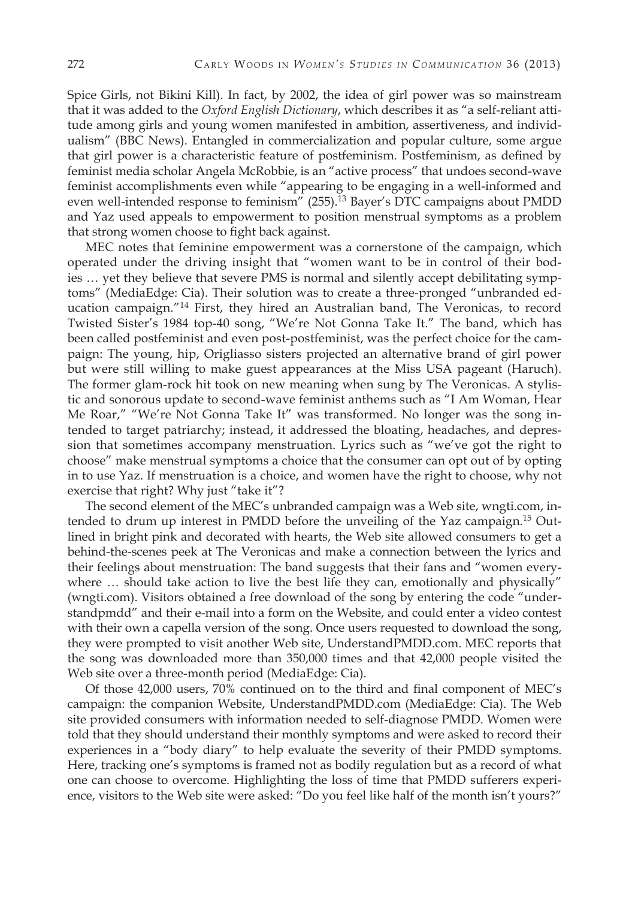Spice Girls, not Bikini Kill). In fact, by 2002, the idea of girl power was so mainstream that it was added to the *Oxford English Dictionary*, which describes it as "a self-reliant attitude among girls and young women manifested in ambition, assertiveness, and individualism" (BBC News). Entangled in commercialization and popular culture, some argue that girl power is a characteristic feature of postfeminism. Postfeminism, as defined by feminist media scholar Angela McRobbie, is an "active process" that undoes second-wave feminist accomplishments even while "appearing to be engaging in a well-informed and even well-intended response to feminism" (255).<sup>13</sup> Bayer's DTC campaigns about PMDD and Yaz used appeals to empowerment to position menstrual symptoms as a problem that strong women choose to fight back against.

MEC notes that feminine empowerment was a cornerstone of the campaign, which operated under the driving insight that "women want to be in control of their bodies … yet they believe that severe PMS is normal and silently accept debilitating symptoms" (MediaEdge: Cia). Their solution was to create a three-pronged "unbranded education campaign."<sup>14</sup> First, they hired an Australian band, The Veronicas, to record Twisted Sister's 1984 top-40 song, "We're Not Gonna Take It." The band, which has been called postfeminist and even post-postfeminist, was the perfect choice for the campaign: The young, hip, Origliasso sisters projected an alternative brand of girl power but were still willing to make guest appearances at the Miss USA pageant (Haruch). The former glam-rock hit took on new meaning when sung by The Veronicas. A stylistic and sonorous update to second-wave feminist anthems such as "I Am Woman, Hear Me Roar," "We're Not Gonna Take It" was transformed. No longer was the song intended to target patriarchy; instead, it addressed the bloating, headaches, and depression that sometimes accompany menstruation. Lyrics such as "we've got the right to choose" make menstrual symptoms a choice that the consumer can opt out of by opting in to use Yaz. If menstruation is a choice, and women have the right to choose, why not exercise that right? Why just "take it"?

The second element of the MEC's unbranded campaign was a Web site, wngti.com, intended to drum up interest in PMDD before the unveiling of the Yaz campaign.<sup>15</sup> Outlined in bright pink and decorated with hearts, the Web site allowed consumers to get a behind-the-scenes peek at The Veronicas and make a connection between the lyrics and their feelings about menstruation: The band suggests that their fans and "women everywhere ... should take action to live the best life they can, emotionally and physically" (wngti.com). Visitors obtained a free download of the song by entering the code "understandpmdd" and their e-mail into a form on the Website, and could enter a video contest with their own a capella version of the song. Once users requested to download the song, they were prompted to visit another Web site, UnderstandPMDD.com. MEC reports that the song was downloaded more than 350,000 times and that 42,000 people visited the Web site over a three-month period (MediaEdge: Cia).

Of those 42,000 users, 70% continued on to the third and final component of MEC's campaign: the companion Website, UnderstandPMDD.com (MediaEdge: Cia). The Web site provided consumers with information needed to self-diagnose PMDD. Women were told that they should understand their monthly symptoms and were asked to record their experiences in a "body diary" to help evaluate the severity of their PMDD symptoms. Here, tracking one's symptoms is framed not as bodily regulation but as a record of what one can choose to overcome. Highlighting the loss of time that PMDD sufferers experience, visitors to the Web site were asked: "Do you feel like half of the month isn't yours?"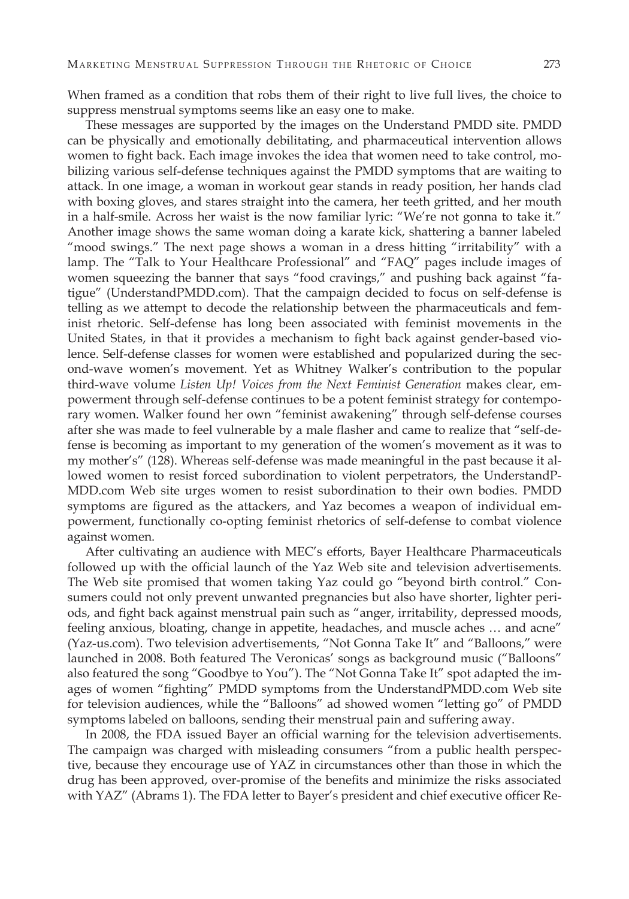When framed as a condition that robs them of their right to live full lives, the choice to suppress menstrual symptoms seems like an easy one to make.

These messages are supported by the images on the Understand PMDD site. PMDD can be physically and emotionally debilitating, and pharmaceutical intervention allows women to fight back. Each image invokes the idea that women need to take control, mobilizing various self-defense techniques against the PMDD symptoms that are waiting to attack. In one image, a woman in workout gear stands in ready position, her hands clad with boxing gloves, and stares straight into the camera, her teeth gritted, and her mouth in a half-smile. Across her waist is the now familiar lyric: "We're not gonna to take it." Another image shows the same woman doing a karate kick, shattering a banner labeled "mood swings." The next page shows a woman in a dress hitting "irritability" with a lamp. The "Talk to Your Healthcare Professional" and "FAQ" pages include images of women squeezing the banner that says "food cravings," and pushing back against "fatigue" (UnderstandPMDD.com). That the campaign decided to focus on self-defense is telling as we attempt to decode the relationship between the pharmaceuticals and feminist rhetoric. Self-defense has long been associated with feminist movements in the United States, in that it provides a mechanism to fight back against gender-based violence. Self-defense classes for women were established and popularized during the second-wave women's movement. Yet as Whitney Walker's contribution to the popular third-wave volume *Listen Up! Voices from the Next Feminist Generation* makes clear, empowerment through self-defense continues to be a potent feminist strategy for contemporary women. Walker found her own "feminist awakening" through self-defense courses after she was made to feel vulnerable by a male flasher and came to realize that "self-defense is becoming as important to my generation of the women's movement as it was to my mother's" (128). Whereas self-defense was made meaningful in the past because it allowed women to resist forced subordination to violent perpetrators, the UnderstandP-MDD.com Web site urges women to resist subordination to their own bodies. PMDD symptoms are figured as the attackers, and Yaz becomes a weapon of individual empowerment, functionally co-opting feminist rhetorics of self-defense to combat violence against women.

After cultivating an audience with MEC's efforts, Bayer Healthcare Pharmaceuticals followed up with the official launch of the Yaz Web site and television advertisements. The Web site promised that women taking Yaz could go "beyond birth control." Consumers could not only prevent unwanted pregnancies but also have shorter, lighter periods, and fight back against menstrual pain such as "anger, irritability, depressed moods, feeling anxious, bloating, change in appetite, headaches, and muscle aches … and acne" (Yaz-us.com). Two television advertisements, "Not Gonna Take It" and "Balloons," were launched in 2008. Both featured The Veronicas' songs as background music ("Balloons" also featured the song "Goodbye to You"). The "Not Gonna Take It" spot adapted the images of women "fighting" PMDD symptoms from the UnderstandPMDD.com Web site for television audiences, while the "Balloons" ad showed women "letting go" of PMDD symptoms labeled on balloons, sending their menstrual pain and suffering away.

In 2008, the FDA issued Bayer an official warning for the television advertisements. The campaign was charged with misleading consumers "from a public health perspective, because they encourage use of YAZ in circumstances other than those in which the drug has been approved, over-promise of the benefits and minimize the risks associated with YAZ" (Abrams 1). The FDA letter to Bayer's president and chief executive officer Re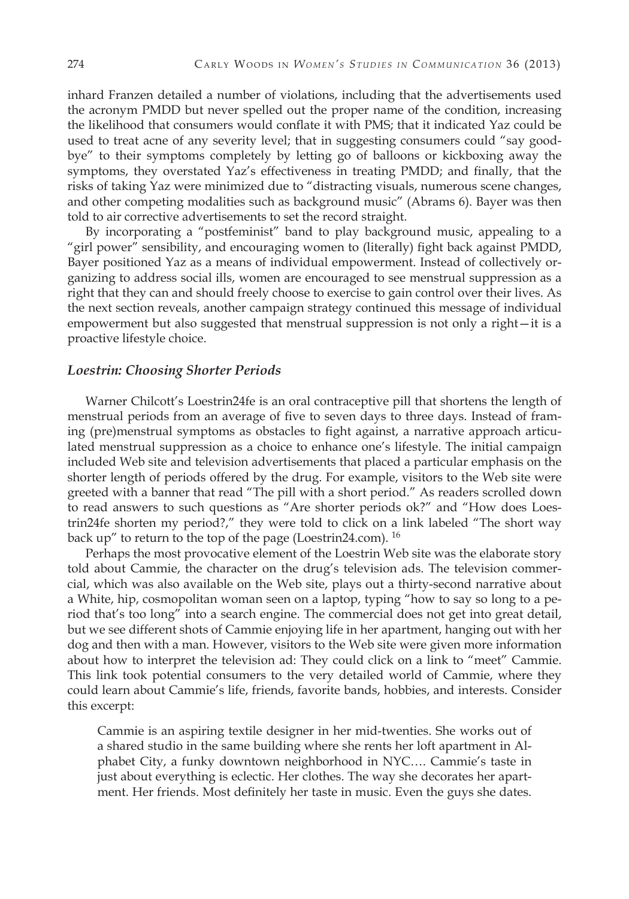inhard Franzen detailed a number of violations, including that the advertisements used the acronym PMDD but never spelled out the proper name of the condition, increasing the likelihood that consumers would conflate it with PMS; that it indicated Yaz could be used to treat acne of any severity level; that in suggesting consumers could "say goodbye" to their symptoms completely by letting go of balloons or kickboxing away the symptoms, they overstated Yaz's effectiveness in treating PMDD; and finally, that the risks of taking Yaz were minimized due to "distracting visuals, numerous scene changes, and other competing modalities such as background music" (Abrams 6). Bayer was then told to air corrective advertisements to set the record straight.

By incorporating a "postfeminist" band to play background music, appealing to a "girl power" sensibility, and encouraging women to (literally) fight back against PMDD, Bayer positioned Yaz as a means of individual empowerment. Instead of collectively organizing to address social ills, women are encouraged to see menstrual suppression as a right that they can and should freely choose to exercise to gain control over their lives. As the next section reveals, another campaign strategy continued this message of individual empowerment but also suggested that menstrual suppression is not only a right—it is a proactive lifestyle choice.

#### *Loestrin: Choosing Shorter Periods*

Warner Chilcott's Loestrin24fe is an oral contraceptive pill that shortens the length of menstrual periods from an average of five to seven days to three days. Instead of framing (pre)menstrual symptoms as obstacles to fight against, a narrative approach articulated menstrual suppression as a choice to enhance one's lifestyle. The initial campaign included Web site and television advertisements that placed a particular emphasis on the shorter length of periods offered by the drug. For example, visitors to the Web site were greeted with a banner that read "The pill with a short period." As readers scrolled down to read answers to such questions as "Are shorter periods ok?" and "How does Loestrin24fe shorten my period?," they were told to click on a link labeled "The short way back up" to return to the top of the page (Loestrin24.com). <sup>16</sup>

Perhaps the most provocative element of the Loestrin Web site was the elaborate story told about Cammie, the character on the drug's television ads. The television commercial, which was also available on the Web site, plays out a thirty-second narrative about a White, hip, cosmopolitan woman seen on a laptop, typing "how to say so long to a period that's too long" into a search engine. The commercial does not get into great detail, but we see different shots of Cammie enjoying life in her apartment, hanging out with her dog and then with a man. However, visitors to the Web site were given more information about how to interpret the television ad: They could click on a link to "meet" Cammie. This link took potential consumers to the very detailed world of Cammie, where they could learn about Cammie's life, friends, favorite bands, hobbies, and interests. Consider this excerpt:

Cammie is an aspiring textile designer in her mid-twenties. She works out of a shared studio in the same building where she rents her loft apartment in Alphabet City, a funky downtown neighborhood in NYC…. Cammie's taste in just about everything is eclectic. Her clothes. The way she decorates her apartment. Her friends. Most definitely her taste in music. Even the guys she dates.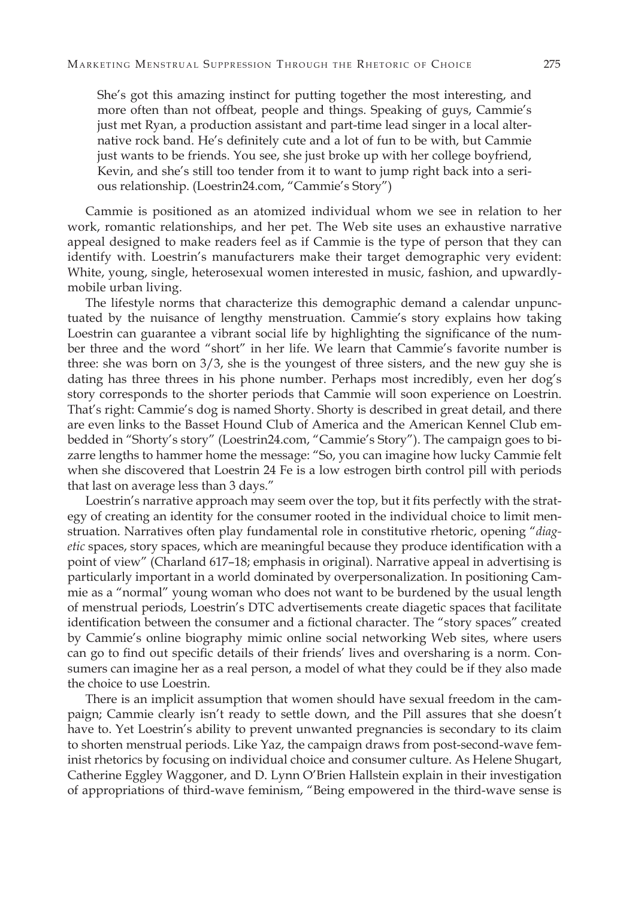She's got this amazing instinct for putting together the most interesting, and more often than not offbeat, people and things. Speaking of guys, Cammie's just met Ryan, a production assistant and part-time lead singer in a local alternative rock band. He's definitely cute and a lot of fun to be with, but Cammie just wants to be friends. You see, she just broke up with her college boyfriend, Kevin, and she's still too tender from it to want to jump right back into a serious relationship. (Loestrin24.com, "Cammie's Story")

Cammie is positioned as an atomized individual whom we see in relation to her work, romantic relationships, and her pet. The Web site uses an exhaustive narrative appeal designed to make readers feel as if Cammie is the type of person that they can identify with. Loestrin's manufacturers make their target demographic very evident: White, young, single, heterosexual women interested in music, fashion, and upwardlymobile urban living.

The lifestyle norms that characterize this demographic demand a calendar unpunctuated by the nuisance of lengthy menstruation. Cammie's story explains how taking Loestrin can guarantee a vibrant social life by highlighting the significance of the number three and the word "short" in her life. We learn that Cammie's favorite number is three: she was born on  $3/3$ , she is the youngest of three sisters, and the new guy she is dating has three threes in his phone number. Perhaps most incredibly, even her dog's story corresponds to the shorter periods that Cammie will soon experience on Loestrin. That's right: Cammie's dog is named Shorty. Shorty is described in great detail, and there are even links to the Basset Hound Club of America and the American Kennel Club embedded in "Shorty's story" (Loestrin24.com, "Cammie's Story"). The campaign goes to bizarre lengths to hammer home the message: "So, you can imagine how lucky Cammie felt when she discovered that Loestrin 24 Fe is a low estrogen birth control pill with periods that last on average less than 3 days."

Loestrin's narrative approach may seem over the top, but it fits perfectly with the strategy of creating an identity for the consumer rooted in the individual choice to limit menstruation. Narratives often play fundamental role in constitutive rhetoric, opening "*diagetic* spaces, story spaces, which are meaningful because they produce identification with a point of view" (Charland 617–18; emphasis in original). Narrative appeal in advertising is particularly important in a world dominated by overpersonalization. In positioning Cammie as a "normal" young woman who does not want to be burdened by the usual length of menstrual periods, Loestrin's DTC advertisements create diagetic spaces that facilitate identification between the consumer and a fictional character. The "story spaces" created by Cammie's online biography mimic online social networking Web sites, where users can go to find out specific details of their friends' lives and oversharing is a norm. Consumers can imagine her as a real person, a model of what they could be if they also made the choice to use Loestrin.

There is an implicit assumption that women should have sexual freedom in the campaign; Cammie clearly isn't ready to settle down, and the Pill assures that she doesn't have to. Yet Loestrin's ability to prevent unwanted pregnancies is secondary to its claim to shorten menstrual periods. Like Yaz, the campaign draws from post-second-wave feminist rhetorics by focusing on individual choice and consumer culture. As Helene Shugart, Catherine Eggley Waggoner, and D. Lynn O'Brien Hallstein explain in their investigation of appropriations of third-wave feminism, "Being empowered in the third-wave sense is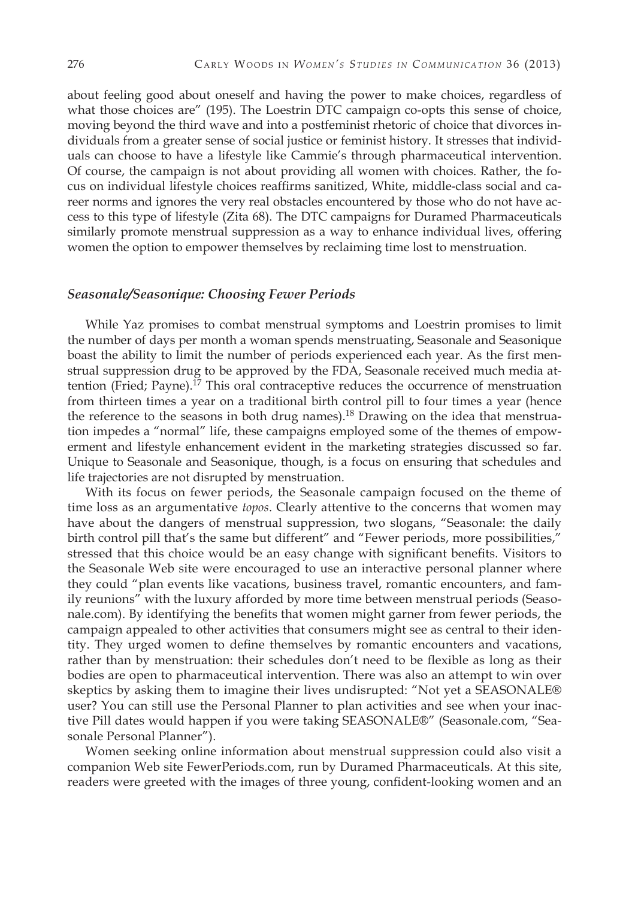about feeling good about oneself and having the power to make choices, regardless of what those choices are" (195). The Loestrin DTC campaign co-opts this sense of choice, moving beyond the third wave and into a postfeminist rhetoric of choice that divorces individuals from a greater sense of social justice or feminist history. It stresses that individuals can choose to have a lifestyle like Cammie's through pharmaceutical intervention. Of course, the campaign is not about providing all women with choices. Rather, the focus on individual lifestyle choices reaffirms sanitized, White, middle-class social and career norms and ignores the very real obstacles encountered by those who do not have access to this type of lifestyle (Zita 68). The DTC campaigns for Duramed Pharmaceuticals similarly promote menstrual suppression as a way to enhance individual lives, offering women the option to empower themselves by reclaiming time lost to menstruation.

#### *Seasonale/Seasonique: Choosing Fewer Periods*

While Yaz promises to combat menstrual symptoms and Loestrin promises to limit the number of days per month a woman spends menstruating, Seasonale and Seasonique boast the ability to limit the number of periods experienced each year. As the first menstrual suppression drug to be approved by the FDA, Seasonale received much media attention (Fried; Payne).<sup>17</sup> This oral contraceptive reduces the occurrence of menstruation from thirteen times a year on a traditional birth control pill to four times a year (hence the reference to the seasons in both drug names).18 Drawing on the idea that menstruation impedes a "normal" life, these campaigns employed some of the themes of empowerment and lifestyle enhancement evident in the marketing strategies discussed so far. Unique to Seasonale and Seasonique, though, is a focus on ensuring that schedules and life trajectories are not disrupted by menstruation.

With its focus on fewer periods, the Seasonale campaign focused on the theme of time loss as an argumentative *topos*. Clearly attentive to the concerns that women may have about the dangers of menstrual suppression, two slogans, "Seasonale: the daily birth control pill that's the same but different" and "Fewer periods, more possibilities," stressed that this choice would be an easy change with significant benefits. Visitors to the Seasonale Web site were encouraged to use an interactive personal planner where they could "plan events like vacations, business travel, romantic encounters, and family reunions" with the luxury afforded by more time between menstrual periods (Seasonale.com). By identifying the benefits that women might garner from fewer periods, the campaign appealed to other activities that consumers might see as central to their identity. They urged women to define themselves by romantic encounters and vacations, rather than by menstruation: their schedules don't need to be flexible as long as their bodies are open to pharmaceutical intervention. There was also an attempt to win over skeptics by asking them to imagine their lives undisrupted: "Not yet a SEASONALE® user? You can still use the Personal Planner to plan activities and see when your inactive Pill dates would happen if you were taking SEASONALE®" (Seasonale.com, "Seasonale Personal Planner").

Women seeking online information about menstrual suppression could also visit a companion Web site FewerPeriods.com, run by Duramed Pharmaceuticals. At this site, readers were greeted with the images of three young, confident-looking women and an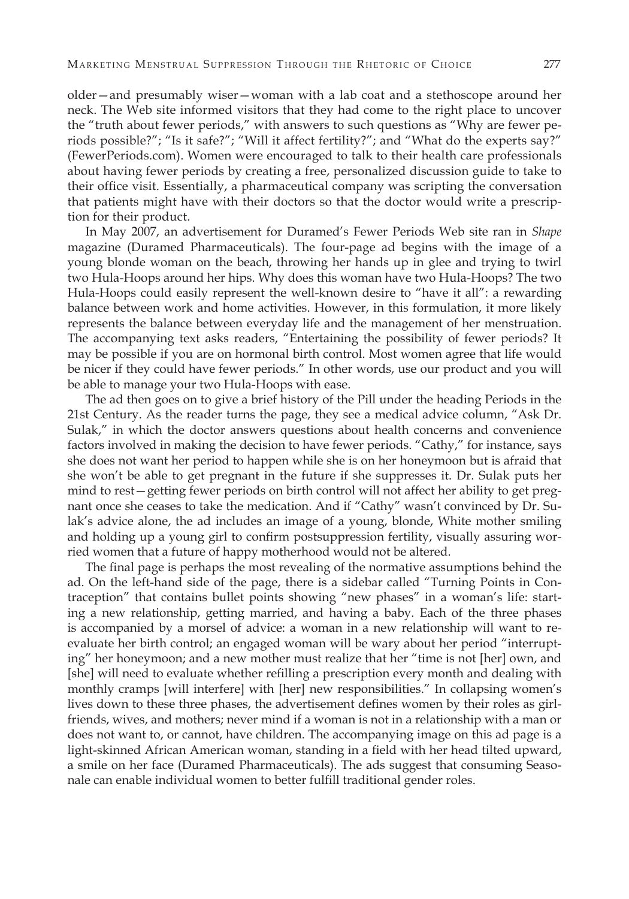older—and presumably wiser—woman with a lab coat and a stethoscope around her neck. The Web site informed visitors that they had come to the right place to uncover the "truth about fewer periods," with answers to such questions as "Why are fewer periods possible?"; "Is it safe?"; "Will it affect fertility?"; and "What do the experts say?" (FewerPeriods.com). Women were encouraged to talk to their health care professionals about having fewer periods by creating a free, personalized discussion guide to take to their office visit. Essentially, a pharmaceutical company was scripting the conversation that patients might have with their doctors so that the doctor would write a prescription for their product.

In May 2007, an advertisement for Duramed's Fewer Periods Web site ran in *Shape* magazine (Duramed Pharmaceuticals). The four-page ad begins with the image of a young blonde woman on the beach, throwing her hands up in glee and trying to twirl two Hula-Hoops around her hips. Why does this woman have two Hula-Hoops? The two Hula-Hoops could easily represent the well-known desire to "have it all": a rewarding balance between work and home activities. However, in this formulation, it more likely represents the balance between everyday life and the management of her menstruation. The accompanying text asks readers, "Entertaining the possibility of fewer periods? It may be possible if you are on hormonal birth control. Most women agree that life would be nicer if they could have fewer periods." In other words, use our product and you will be able to manage your two Hula-Hoops with ease.

The ad then goes on to give a brief history of the Pill under the heading Periods in the 21st Century. As the reader turns the page, they see a medical advice column, "Ask Dr. Sulak," in which the doctor answers questions about health concerns and convenience factors involved in making the decision to have fewer periods. "Cathy," for instance, says she does not want her period to happen while she is on her honeymoon but is afraid that she won't be able to get pregnant in the future if she suppresses it. Dr. Sulak puts her mind to rest—getting fewer periods on birth control will not affect her ability to get pregnant once she ceases to take the medication. And if "Cathy" wasn't convinced by Dr. Sulak's advice alone, the ad includes an image of a young, blonde, White mother smiling and holding up a young girl to confirm postsuppression fertility, visually assuring worried women that a future of happy motherhood would not be altered.

The final page is perhaps the most revealing of the normative assumptions behind the ad. On the left-hand side of the page, there is a sidebar called "Turning Points in Contraception" that contains bullet points showing "new phases" in a woman's life: starting a new relationship, getting married, and having a baby. Each of the three phases is accompanied by a morsel of advice: a woman in a new relationship will want to reevaluate her birth control; an engaged woman will be wary about her period "interrupting" her honeymoon; and a new mother must realize that her "time is not [her] own, and [she] will need to evaluate whether refilling a prescription every month and dealing with monthly cramps [will interfere] with [her] new responsibilities." In collapsing women's lives down to these three phases, the advertisement defines women by their roles as girlfriends, wives, and mothers; never mind if a woman is not in a relationship with a man or does not want to, or cannot, have children. The accompanying image on this ad page is a light-skinned African American woman, standing in a field with her head tilted upward, a smile on her face (Duramed Pharmaceuticals). The ads suggest that consuming Seasonale can enable individual women to better fulfill traditional gender roles.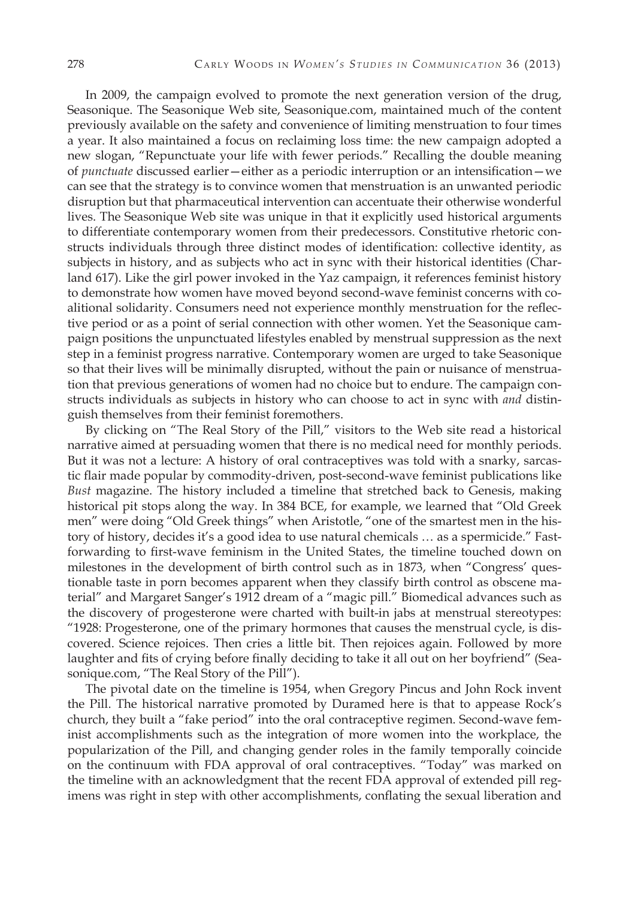In 2009, the campaign evolved to promote the next generation version of the drug, Seasonique. The Seasonique Web site, Seasonique.com, maintained much of the content previously available on the safety and convenience of limiting menstruation to four times a year. It also maintained a focus on reclaiming loss time: the new campaign adopted a new slogan, "Repunctuate your life with fewer periods." Recalling the double meaning of *punctuate* discussed earlier—either as a periodic interruption or an intensification—we can see that the strategy is to convince women that menstruation is an unwanted periodic disruption but that pharmaceutical intervention can accentuate their otherwise wonderful lives. The Seasonique Web site was unique in that it explicitly used historical arguments to differentiate contemporary women from their predecessors. Constitutive rhetoric constructs individuals through three distinct modes of identification: collective identity, as subjects in history, and as subjects who act in sync with their historical identities (Charland 617). Like the girl power invoked in the Yaz campaign, it references feminist history to demonstrate how women have moved beyond second-wave feminist concerns with coalitional solidarity. Consumers need not experience monthly menstruation for the reflective period or as a point of serial connection with other women. Yet the Seasonique campaign positions the unpunctuated lifestyles enabled by menstrual suppression as the next step in a feminist progress narrative. Contemporary women are urged to take Seasonique so that their lives will be minimally disrupted, without the pain or nuisance of menstruation that previous generations of women had no choice but to endure. The campaign constructs individuals as subjects in history who can choose to act in sync with *and* distinguish themselves from their feminist foremothers.

By clicking on "The Real Story of the Pill," visitors to the Web site read a historical narrative aimed at persuading women that there is no medical need for monthly periods. But it was not a lecture: A history of oral contraceptives was told with a snarky, sarcastic flair made popular by commodity-driven, post-second-wave feminist publications like *Bust* magazine. The history included a timeline that stretched back to Genesis, making historical pit stops along the way. In 384 BCE, for example, we learned that "Old Greek men" were doing "Old Greek things" when Aristotle, "one of the smartest men in the history of history, decides it's a good idea to use natural chemicals … as a spermicide." Fastforwarding to first-wave feminism in the United States, the timeline touched down on milestones in the development of birth control such as in 1873, when "Congress' questionable taste in porn becomes apparent when they classify birth control as obscene material" and Margaret Sanger's 1912 dream of a "magic pill." Biomedical advances such as the discovery of progesterone were charted with built-in jabs at menstrual stereotypes: "1928: Progesterone, one of the primary hormones that causes the menstrual cycle, is discovered. Science rejoices. Then cries a little bit. Then rejoices again. Followed by more laughter and fits of crying before finally deciding to take it all out on her boyfriend" (Seasonique.com, "The Real Story of the Pill").

The pivotal date on the timeline is 1954, when Gregory Pincus and John Rock invent the Pill. The historical narrative promoted by Duramed here is that to appease Rock's church, they built a "fake period" into the oral contraceptive regimen. Second-wave feminist accomplishments such as the integration of more women into the workplace, the popularization of the Pill, and changing gender roles in the family temporally coincide on the continuum with FDA approval of oral contraceptives. "Today" was marked on the timeline with an acknowledgment that the recent FDA approval of extended pill regimens was right in step with other accomplishments, conflating the sexual liberation and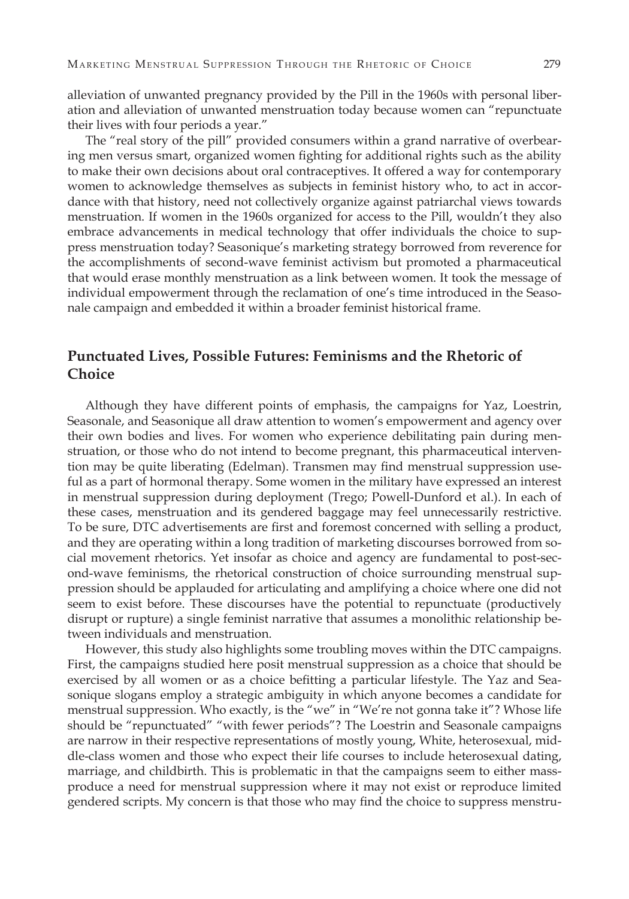alleviation of unwanted pregnancy provided by the Pill in the 1960s with personal liberation and alleviation of unwanted menstruation today because women can "repunctuate their lives with four periods a year."

The "real story of the pill" provided consumers within a grand narrative of overbearing men versus smart, organized women fighting for additional rights such as the ability to make their own decisions about oral contraceptives. It offered a way for contemporary women to acknowledge themselves as subjects in feminist history who, to act in accordance with that history, need not collectively organize against patriarchal views towards menstruation. If women in the 1960s organized for access to the Pill, wouldn't they also embrace advancements in medical technology that offer individuals the choice to suppress menstruation today? Seasonique's marketing strategy borrowed from reverence for the accomplishments of second-wave feminist activism but promoted a pharmaceutical that would erase monthly menstruation as a link between women. It took the message of individual empowerment through the reclamation of one's time introduced in the Seasonale campaign and embedded it within a broader feminist historical frame.

## **Punctuated Lives, Possible Futures: Feminisms and the Rhetoric of Choice**

Although they have different points of emphasis, the campaigns for Yaz, Loestrin, Seasonale, and Seasonique all draw attention to women's empowerment and agency over their own bodies and lives. For women who experience debilitating pain during menstruation, or those who do not intend to become pregnant, this pharmaceutical intervention may be quite liberating (Edelman). Transmen may find menstrual suppression useful as a part of hormonal therapy. Some women in the military have expressed an interest in menstrual suppression during deployment (Trego; Powell-Dunford et al.). In each of these cases, menstruation and its gendered baggage may feel unnecessarily restrictive. To be sure, DTC advertisements are first and foremost concerned with selling a product, and they are operating within a long tradition of marketing discourses borrowed from social movement rhetorics. Yet insofar as choice and agency are fundamental to post-second-wave feminisms, the rhetorical construction of choice surrounding menstrual suppression should be applauded for articulating and amplifying a choice where one did not seem to exist before. These discourses have the potential to repunctuate (productively disrupt or rupture) a single feminist narrative that assumes a monolithic relationship between individuals and menstruation.

However, this study also highlights some troubling moves within the DTC campaigns. First, the campaigns studied here posit menstrual suppression as a choice that should be exercised by all women or as a choice befitting a particular lifestyle. The Yaz and Seasonique slogans employ a strategic ambiguity in which anyone becomes a candidate for menstrual suppression. Who exactly, is the "we" in "We're not gonna take it"? Whose life should be "repunctuated" "with fewer periods"? The Loestrin and Seasonale campaigns are narrow in their respective representations of mostly young, White, heterosexual, middle-class women and those who expect their life courses to include heterosexual dating, marriage, and childbirth. This is problematic in that the campaigns seem to either massproduce a need for menstrual suppression where it may not exist or reproduce limited gendered scripts. My concern is that those who may find the choice to suppress menstru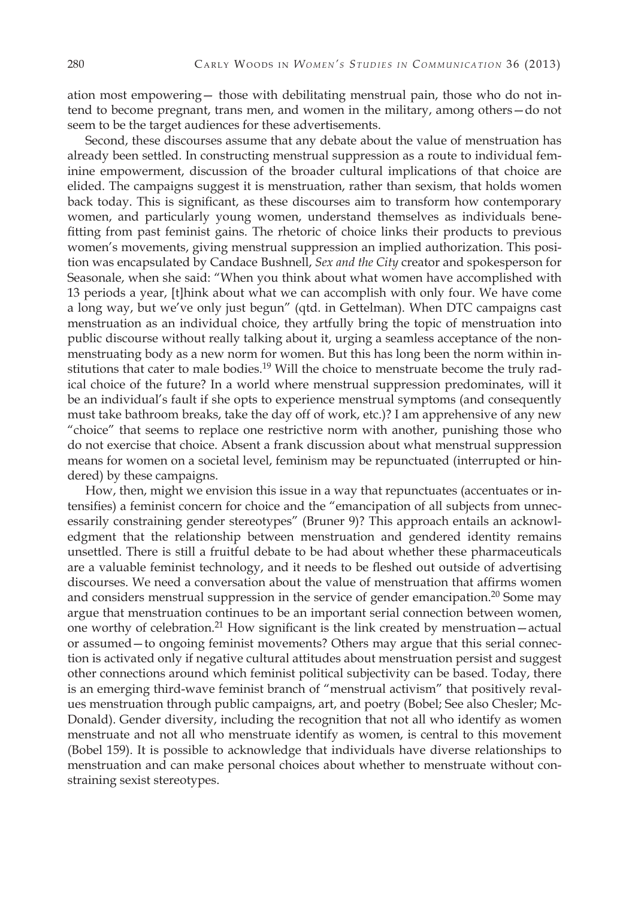ation most empowering— those with debilitating menstrual pain, those who do not intend to become pregnant, trans men, and women in the military, among others—do not seem to be the target audiences for these advertisements.

Second, these discourses assume that any debate about the value of menstruation has already been settled. In constructing menstrual suppression as a route to individual feminine empowerment, discussion of the broader cultural implications of that choice are elided. The campaigns suggest it is menstruation, rather than sexism, that holds women back today. This is significant, as these discourses aim to transform how contemporary women, and particularly young women, understand themselves as individuals benefitting from past feminist gains. The rhetoric of choice links their products to previous women's movements, giving menstrual suppression an implied authorization. This position was encapsulated by Candace Bushnell, *Sex and the City* creator and spokesperson for Seasonale, when she said: "When you think about what women have accomplished with 13 periods a year, [t]hink about what we can accomplish with only four. We have come a long way, but we've only just begun" (qtd. in Gettelman). When DTC campaigns cast menstruation as an individual choice, they artfully bring the topic of menstruation into public discourse without really talking about it, urging a seamless acceptance of the nonmenstruating body as a new norm for women. But this has long been the norm within institutions that cater to male bodies.<sup>19</sup> Will the choice to menstruate become the truly radical choice of the future? In a world where menstrual suppression predominates, will it be an individual's fault if she opts to experience menstrual symptoms (and consequently must take bathroom breaks, take the day off of work, etc.)? I am apprehensive of any new "choice" that seems to replace one restrictive norm with another, punishing those who do not exercise that choice. Absent a frank discussion about what menstrual suppression means for women on a societal level, feminism may be repunctuated (interrupted or hindered) by these campaigns.

How, then, might we envision this issue in a way that repunctuates (accentuates or intensifies) a feminist concern for choice and the "emancipation of all subjects from unnecessarily constraining gender stereotypes" (Bruner 9)? This approach entails an acknowledgment that the relationship between menstruation and gendered identity remains unsettled. There is still a fruitful debate to be had about whether these pharmaceuticals are a valuable feminist technology, and it needs to be fleshed out outside of advertising discourses. We need a conversation about the value of menstruation that affirms women and considers menstrual suppression in the service of gender emancipation.<sup>20</sup> Some may argue that menstruation continues to be an important serial connection between women, one worthy of celebration.<sup>21</sup> How significant is the link created by menstruation—actual or assumed—to ongoing feminist movements? Others may argue that this serial connection is activated only if negative cultural attitudes about menstruation persist and suggest other connections around which feminist political subjectivity can be based. Today, there is an emerging third-wave feminist branch of "menstrual activism" that positively revalues menstruation through public campaigns, art, and poetry (Bobel; See also Chesler; Mc-Donald). Gender diversity, including the recognition that not all who identify as women menstruate and not all who menstruate identify as women, is central to this movement (Bobel 159). It is possible to acknowledge that individuals have diverse relationships to menstruation and can make personal choices about whether to menstruate without constraining sexist stereotypes.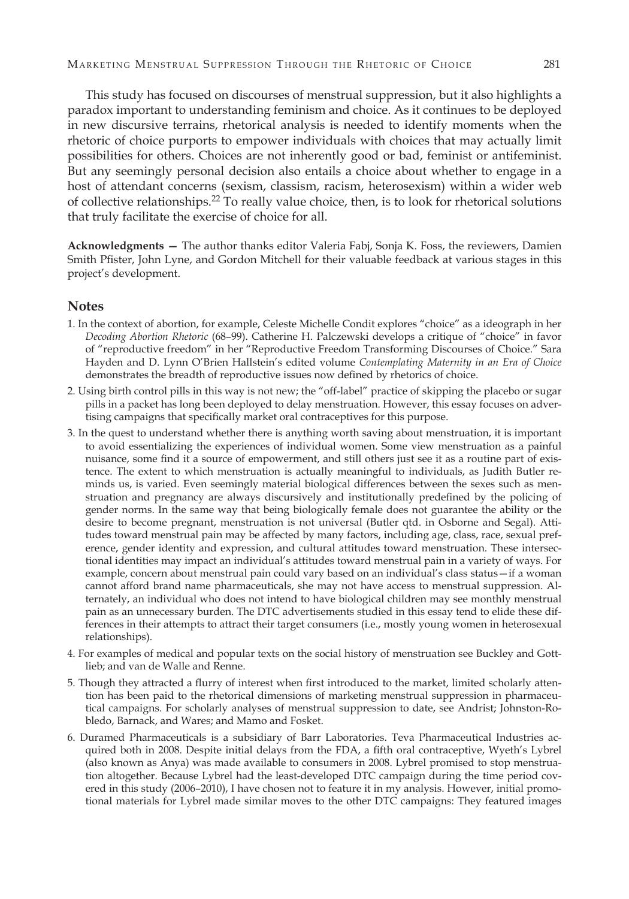This study has focused on discourses of menstrual suppression, but it also highlights a paradox important to understanding feminism and choice. As it continues to be deployed in new discursive terrains, rhetorical analysis is needed to identify moments when the rhetoric of choice purports to empower individuals with choices that may actually limit possibilities for others. Choices are not inherently good or bad, feminist or antifeminist. But any seemingly personal decision also entails a choice about whether to engage in a host of attendant concerns (sexism, classism, racism, heterosexism) within a wider web of collective relationships.22 To really value choice, then, is to look for rhetorical solutions that truly facilitate the exercise of choice for all.

**Acknowledgments —** The author thanks editor Valeria Fabj, Sonja K. Foss, the reviewers, Damien Smith Pfister, John Lyne, and Gordon Mitchell for their valuable feedback at various stages in this project's development.

#### **Notes**

- 1. In the context of abortion, for example, Celeste Michelle Condit explores "choice" as a ideograph in her *Decoding Abortion Rhetoric* (68–99). Catherine H. Palczewski develops a critique of "choice" in favor of "reproductive freedom" in her "Reproductive Freedom Transforming Discourses of Choice." Sara Hayden and D. Lynn O'Brien Hallstein's edited volume *Contemplating Maternity in an Era of Choice* demonstrates the breadth of reproductive issues now defined by rhetorics of choice.
- 2. Using birth control pills in this way is not new; the "off-label" practice of skipping the placebo or sugar pills in a packet has long been deployed to delay menstruation. However, this essay focuses on advertising campaigns that specifically market oral contraceptives for this purpose.
- 3. In the quest to understand whether there is anything worth saving about menstruation, it is important to avoid essentializing the experiences of individual women. Some view menstruation as a painful nuisance, some find it a source of empowerment, and still others just see it as a routine part of existence. The extent to which menstruation is actually meaningful to individuals, as Judith Butler reminds us, is varied. Even seemingly material biological differences between the sexes such as menstruation and pregnancy are always discursively and institutionally predefined by the policing of gender norms. In the same way that being biologically female does not guarantee the ability or the desire to become pregnant, menstruation is not universal (Butler qtd. in Osborne and Segal). Attitudes toward menstrual pain may be affected by many factors, including age, class, race, sexual preference, gender identity and expression, and cultural attitudes toward menstruation. These intersectional identities may impact an individual's attitudes toward menstrual pain in a variety of ways. For example, concern about menstrual pain could vary based on an individual's class status—if a woman cannot afford brand name pharmaceuticals, she may not have access to menstrual suppression. Alternately, an individual who does not intend to have biological children may see monthly menstrual pain as an unnecessary burden. The DTC advertisements studied in this essay tend to elide these differences in their attempts to attract their target consumers (i.e., mostly young women in heterosexual relationships).
- 4. For examples of medical and popular texts on the social history of menstruation see Buckley and Gottlieb; and van de Walle and Renne.
- 5. Though they attracted a flurry of interest when first introduced to the market, limited scholarly attention has been paid to the rhetorical dimensions of marketing menstrual suppression in pharmaceutical campaigns. For scholarly analyses of menstrual suppression to date, see Andrist; Johnston-Robledo, Barnack, and Wares; and Mamo and Fosket.
- 6. Duramed Pharmaceuticals is a subsidiary of Barr Laboratories. Teva Pharmaceutical Industries acquired both in 2008. Despite initial delays from the FDA, a fifth oral contraceptive, Wyeth's Lybrel (also known as Anya) was made available to consumers in 2008. Lybrel promised to stop menstruation altogether. Because Lybrel had the least-developed DTC campaign during the time period covered in this study (2006–2010), I have chosen not to feature it in my analysis. However, initial promotional materials for Lybrel made similar moves to the other DTC campaigns: They featured images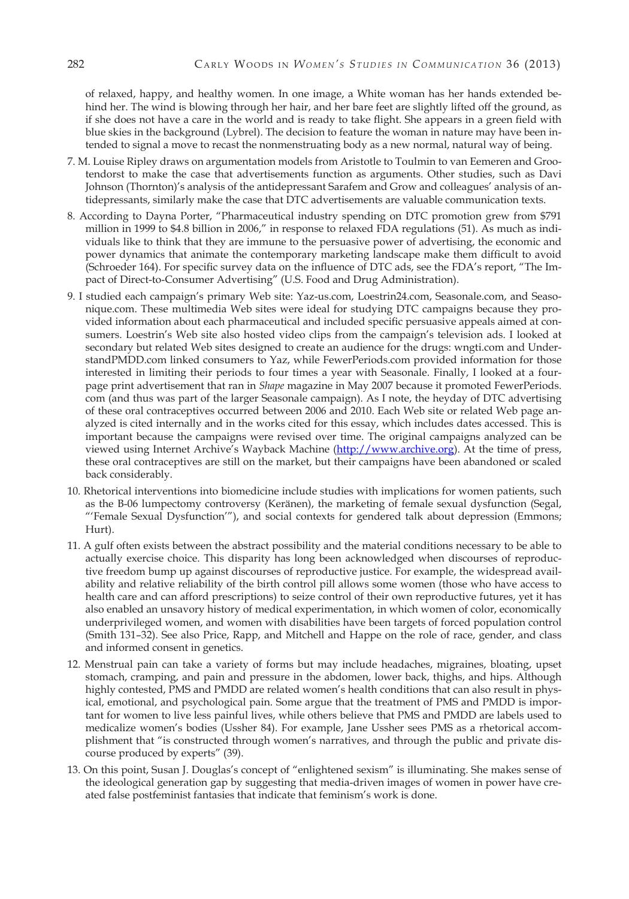of relaxed, happy, and healthy women. In one image, a White woman has her hands extended behind her. The wind is blowing through her hair, and her bare feet are slightly lifted off the ground, as if she does not have a care in the world and is ready to take flight. She appears in a green field with blue skies in the background (Lybrel). The decision to feature the woman in nature may have been intended to signal a move to recast the nonmenstruating body as a new normal, natural way of being.

- 7. M. Louise Ripley draws on argumentation models from Aristotle to Toulmin to van Eemeren and Grootendorst to make the case that advertisements function as arguments. Other studies, such as Davi Johnson (Thornton)'s analysis of the antidepressant Sarafem and Grow and colleagues' analysis of antidepressants, similarly make the case that DTC advertisements are valuable communication texts.
- 8. According to Dayna Porter, "Pharmaceutical industry spending on DTC promotion grew from \$791 million in 1999 to \$4.8 billion in 2006," in response to relaxed FDA regulations (51). As much as individuals like to think that they are immune to the persuasive power of advertising, the economic and power dynamics that animate the contemporary marketing landscape make them difficult to avoid (Schroeder 164). For specific survey data on the influence of DTC ads, see the FDA's report, "The Impact of Direct-to-Consumer Advertising" (U.S. Food and Drug Administration).
- 9. I studied each campaign's primary Web site: Yaz-us.com, Loestrin24.com, Seasonale.com, and Seasonique.com. These multimedia Web sites were ideal for studying DTC campaigns because they provided information about each pharmaceutical and included specific persuasive appeals aimed at consumers. Loestrin's Web site also hosted video clips from the campaign's television ads. I looked at secondary but related Web sites designed to create an audience for the drugs: wngti.com and UnderstandPMDD.com linked consumers to Yaz, while FewerPeriods.com provided information for those interested in limiting their periods to four times a year with Seasonale. Finally, I looked at a fourpage print advertisement that ran in *Shape* magazine in May 2007 because it promoted FewerPeriods. com (and thus was part of the larger Seasonale campaign). As I note, the heyday of DTC advertising of these oral contraceptives occurred between 2006 and 2010. Each Web site or related Web page analyzed is cited internally and in the works cited for this essay, which includes dates accessed. This is important because the campaigns were revised over time. The original campaigns analyzed can be viewed using Internet Archive's Wayback Machine (http://www.archive.org). At the time of press, these oral contraceptives are still on the market, but their campaigns have been abandoned or scaled back considerably.
- 10. Rhetorical interventions into biomedicine include studies with implications for women patients, such as the B-06 lumpectomy controversy (Keränen), the marketing of female sexual dysfunction (Segal, "'Female Sexual Dysfunction'"), and social contexts for gendered talk about depression (Emmons; Hurt).
- 11. A gulf often exists between the abstract possibility and the material conditions necessary to be able to actually exercise choice. This disparity has long been acknowledged when discourses of reproductive freedom bump up against discourses of reproductive justice. For example, the widespread availability and relative reliability of the birth control pill allows some women (those who have access to health care and can afford prescriptions) to seize control of their own reproductive futures, yet it has also enabled an unsavory history of medical experimentation, in which women of color, economically underprivileged women, and women with disabilities have been targets of forced population control (Smith 131–32). See also Price, Rapp, and Mitchell and Happe on the role of race, gender, and class and informed consent in genetics.
- 12. Menstrual pain can take a variety of forms but may include headaches, migraines, bloating, upset stomach, cramping, and pain and pressure in the abdomen, lower back, thighs, and hips. Although highly contested, PMS and PMDD are related women's health conditions that can also result in physical, emotional, and psychological pain. Some argue that the treatment of PMS and PMDD is important for women to live less painful lives, while others believe that PMS and PMDD are labels used to medicalize women's bodies (Ussher 84). For example, Jane Ussher sees PMS as a rhetorical accomplishment that "is constructed through women's narratives, and through the public and private discourse produced by experts" (39).
- 13. On this point, Susan J. Douglas's concept of "enlightened sexism" is illuminating. She makes sense of the ideological generation gap by suggesting that media-driven images of women in power have created false postfeminist fantasies that indicate that feminism's work is done.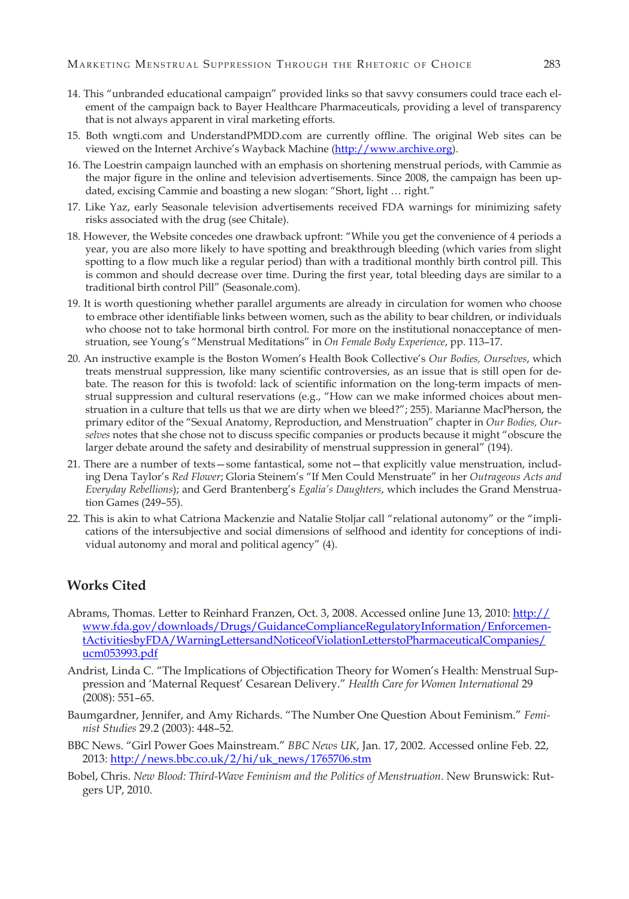- 14. This "unbranded educational campaign" provided links so that savvy consumers could trace each element of the campaign back to Bayer Healthcare Pharmaceuticals, providing a level of transparency that is not always apparent in viral marketing efforts.
- 15. Both wngti.com and UnderstandPMDD.com are currently offline. The original Web sites can be viewed on the Internet Archive's Wayback Machine (http://www.archive.org).
- 16. The Loestrin campaign launched with an emphasis on shortening menstrual periods, with Cammie as the major figure in the online and television advertisements. Since 2008, the campaign has been updated, excising Cammie and boasting a new slogan: "Short, light … right."
- 17. Like Yaz, early Seasonale television advertisements received FDA warnings for minimizing safety risks associated with the drug (see Chitale).
- 18. However, the Website concedes one drawback upfront: "While you get the convenience of 4 periods a year, you are also more likely to have spotting and breakthrough bleeding (which varies from slight spotting to a flow much like a regular period) than with a traditional monthly birth control pill. This is common and should decrease over time. During the first year, total bleeding days are similar to a traditional birth control Pill" (Seasonale.com).
- 19. It is worth questioning whether parallel arguments are already in circulation for women who choose to embrace other identifiable links between women, such as the ability to bear children, or individuals who choose not to take hormonal birth control. For more on the institutional nonacceptance of menstruation, see Young's "Menstrual Meditations" in *On Female Body Experience*, pp. 113–17.
- 20. An instructive example is the Boston Women's Health Book Collective's *Our Bodies, Ourselves*, which treats menstrual suppression, like many scientific controversies, as an issue that is still open for debate. The reason for this is twofold: lack of scientific information on the long-term impacts of menstrual suppression and cultural reservations (e.g., "How can we make informed choices about menstruation in a culture that tells us that we are dirty when we bleed?"; 255). Marianne MacPherson, the primary editor of the "Sexual Anatomy, Reproduction, and Menstruation" chapter in *Our Bodies, Ourselves* notes that she chose not to discuss specific companies or products because it might "obscure the larger debate around the safety and desirability of menstrual suppression in general" (194).
- 21. There are a number of texts—some fantastical, some not—that explicitly value menstruation, including Dena Taylor's *Red Flower*; Gloria Steinem's "If Men Could Menstruate" in her *Outrageous Acts and Everyday Rebellions*); and Gerd Brantenberg's *Egalia's Daughters*, which includes the Grand Menstruation Games (249–55).
- 22. This is akin to what Catriona Mackenzie and Natalie Stoljar call "relational autonomy" or the "implications of the intersubjective and social dimensions of selfhood and identity for conceptions of individual autonomy and moral and political agency" (4).

### **Works Cited**

- Abrams, Thomas. Letter to Reinhard Franzen, Oct. 3, 2008. Accessed online June 13, 2010: http:// www.fda.gov/downloads/Drugs/GuidanceComplianceRegulatoryInformation/EnforcementActivitiesbyFDA/WarningLettersandNoticeofViolationLetterstoPharmaceuticalCompanies/ ucm053993.pdf
- Andrist, Linda C. "The Implications of Objectification Theory for Women's Health: Menstrual Suppression and 'Maternal Request' Cesarean Delivery." *Health Care for Women International* 29 (2008): 551–65.
- Baumgardner, Jennifer, and Amy Richards. "The Number One Question About Feminism." *Feminist Studies* 29.2 (2003): 448–52.
- BBC News. "Girl Power Goes Mainstream." *BBC News UK*, Jan. 17, 2002. Accessed online Feb. 22, 2013: http://news.bbc.co.uk/2/hi/uk\_news/1765706.stm
- Bobel, Chris. *New Blood: Third-Wave Feminism and the Politics of Menstruation*. New Brunswick: Rutgers UP, 2010.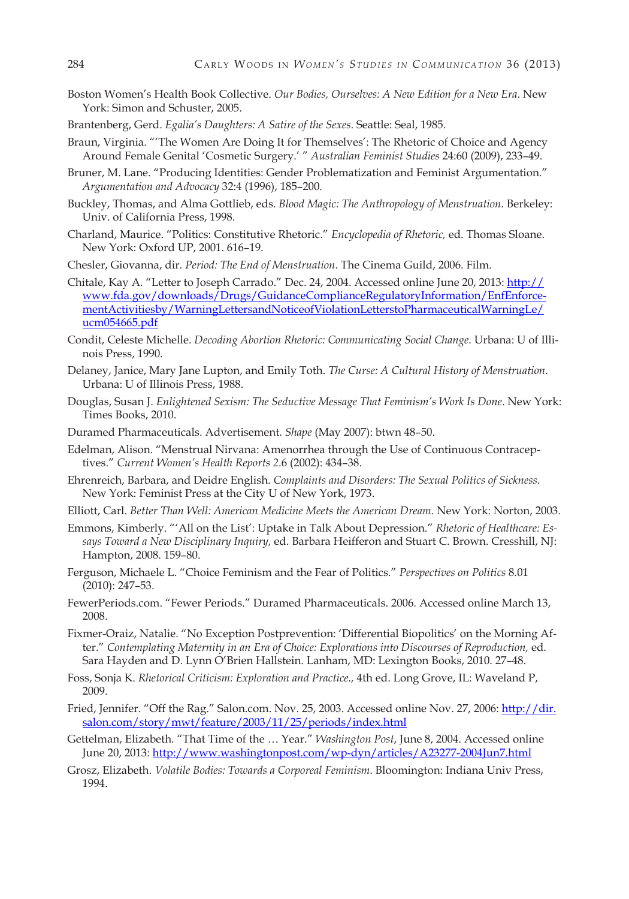- Boston Women's Health Book Collective. *Our Bodies, Ourselves: A New Edition for a New Era*. New York: Simon and Schuster, 2005.
- Brantenberg, Gerd. *Egalia's Daughters: A Satire of the Sexes*. Seattle: Seal, 1985.
- Braun, Virginia. "'The Women Are Doing It for Themselves': The Rhetoric of Choice and Agency Around Female Genital 'Cosmetic Surgery.' " *Australian Feminist Studies* 24:60 (2009), 233–49.
- Bruner, M. Lane. "Producing Identities: Gender Problematization and Feminist Argumentation." *Argumentation and Advocacy* 32:4 (1996), 185–200.
- Buckley, Thomas, and Alma Gottlieb, eds. *Blood Magic: The Anthropology of Menstruation*. Berkeley: Univ. of California Press, 1998.
- Charland, Maurice. "Politics: Constitutive Rhetoric." *Encyclopedia of Rhetoric,* ed. Thomas Sloane. New York: Oxford UP, 2001. 616–19.
- Chesler, Giovanna, dir. *Period: The End of Menstruation*. The Cinema Guild, 2006. Film.
- Chitale, Kay A. "Letter to Joseph Carrado." Dec. 24, 2004. Accessed online June 20, 2013: http:// www.fda.gov/downloads/Drugs/GuidanceComplianceRegulatoryInformation/EnfEnforcementActivitiesby/WarningLettersandNoticeofViolationLetterstoPharmaceuticalWarningLe/ ucm054665.pdf
- Condit, Celeste Michelle. *Decoding Abortion Rhetoric: Communicating Social Change*. Urbana: U of Illinois Press, 1990.
- Delaney, Janice, Mary Jane Lupton, and Emily Toth. *The Curse: A Cultural History of Menstruation*. Urbana: U of Illinois Press, 1988.
- Douglas, Susan J. *Enlightened Sexism: The Seductive Message That Feminism's Work Is Done*. New York: Times Books, 2010.
- Duramed Pharmaceuticals. Advertisement. *Shape* (May 2007): btwn 48–50.
- Edelman, Alison. "Menstrual Nirvana: Amenorrhea through the Use of Continuous Contraceptives." *Current Women's Health Reports 2*.6 (2002): 434–38.
- Ehrenreich, Barbara, and Deidre English. *Complaints and Disorders: The Sexual Politics of Sickness*. New York: Feminist Press at the City U of New York, 1973.
- Elliott, Carl. *Better Than Well: American Medicine Meets the American Dream*. New York: Norton, 2003.
- Emmons, Kimberly. "'All on the List': Uptake in Talk About Depression." *Rhetoric of Healthcare: Essays Toward a New Disciplinary Inquiry,* ed. Barbara Heifferon and Stuart C. Brown. Cresshill, NJ: Hampton, 2008. 159–80.
- Ferguson, Michaele L. "Choice Feminism and the Fear of Politics." *Perspectives on Politics* 8.01 (2010): 247–53.
- FewerPeriods.com. "Fewer Periods." Duramed Pharmaceuticals. 2006. Accessed online March 13, 2008.
- Fixmer-Oraiz, Natalie. "No Exception Postprevention: 'Differential Biopolitics' on the Morning After." *Contemplating Maternity in an Era of Choice: Explorations into Discourses of Reproduction,* ed. Sara Hayden and D. Lynn O'Brien Hallstein. Lanham, MD: Lexington Books, 2010. 27–48.
- Foss, Sonja K. *Rhetorical Criticism: Exploration and Practice.,* 4th ed. Long Grove, IL: Waveland P, 2009.
- Fried, Jennifer. "Off the Rag." Salon.com. Nov. 25, 2003. Accessed online Nov. 27, 2006: http://dir. salon.com/story/mwt/feature/2003/11/25/periods/index.html
- Gettelman, Elizabeth. "That Time of the … Year." *Washington Post*, June 8, 2004. Accessed online June 20, 2013: http://www.washingtonpost.com/wp-dyn/articles/A23277-2004Jun7.html
- Grosz, Elizabeth. *Volatile Bodies: Towards a Corporeal Feminism*. Bloomington: Indiana Univ Press, 1994.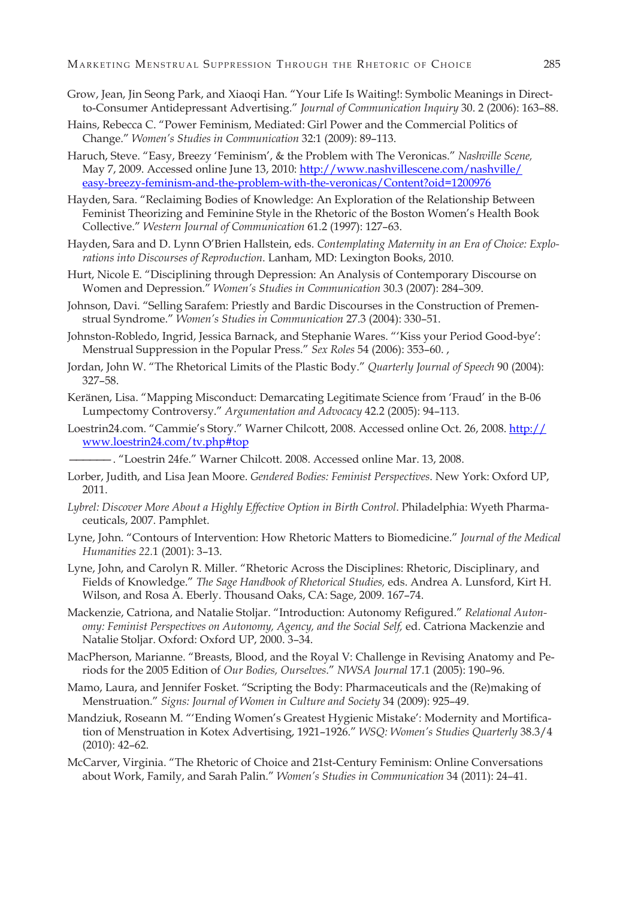- Grow, Jean, Jin Seong Park, and Xiaoqi Han. "Your Life Is Waiting!: Symbolic Meanings in Directto-Consumer Antidepressant Advertising." *Journal of Communication Inquiry* 30. 2 (2006): 163–88.
- Hains, Rebecca C. "Power Feminism, Mediated: Girl Power and the Commercial Politics of Change." *Women's Studies in Communication* 32:1 (2009): 89–113.
- Haruch, Steve. "Easy, Breezy 'Feminism', & the Problem with The Veronicas." *Nashville Scene,* May 7, 2009. Accessed online June 13, 2010: http://www.nashvillescene.com/nashville/ easy-breezy-feminism-and-the-problem-with-the-veronicas/Content?oid=1200976
- Hayden, Sara. "Reclaiming Bodies of Knowledge: An Exploration of the Relationship Between Feminist Theorizing and Feminine Style in the Rhetoric of the Boston Women's Health Book Collective." *Western Journal of Communication* 61.2 (1997): 127–63.
- Hayden, Sara and D. Lynn O'Brien Hallstein, eds. *Contemplating Maternity in an Era of Choice: Explorations into Discourses of Reproduction*. Lanham, MD: Lexington Books, 2010.
- Hurt, Nicole E. "Disciplining through Depression: An Analysis of Contemporary Discourse on Women and Depression." *Women's Studies in Communication* 30.3 (2007): 284–309.
- Johnson, Davi. "Selling Sarafem: Priestly and Bardic Discourses in the Construction of Premenstrual Syndrome." *Women's Studies in Communication* 27.3 (2004): 330–51.
- Johnston-Robledo, Ingrid, Jessica Barnack, and Stephanie Wares. "'Kiss your Period Good-bye': Menstrual Suppression in the Popular Press." *Sex Roles* 54 (2006): 353–60. ,
- Jordan, John W. "The Rhetorical Limits of the Plastic Body." *Quarterly Journal of Speech* 90 (2004): 327–58.
- Keränen, Lisa. "Mapping Misconduct: Demarcating Legitimate Science from 'Fraud' in the B-06 Lumpectomy Controversy." *Argumentation and Advocacy* 42.2 (2005): 94–113.
- Loestrin24.com. "Cammie's Story." Warner Chilcott, 2008. Accessed online Oct. 26, 2008. http:// www.loestrin24.com/tv.php#top
	- ——————. "Loestrin 24fe." Warner Chilcott. 2008. Accessed online Mar. 13, 2008.
- Lorber, Judith, and Lisa Jean Moore. *Gendered Bodies: Feminist Perspectives*. New York: Oxford UP, 2011.
- *Lybrel: Discover More About a Highly Effective Option in Birth Control*. Philadelphia: Wyeth Pharmaceuticals, 2007. Pamphlet.
- Lyne, John. "Contours of Intervention: How Rhetoric Matters to Biomedicine." *Journal of the Medical Humanities 22.*1 (2001): 3–13.
- Lyne, John, and Carolyn R. Miller. "Rhetoric Across the Disciplines: Rhetoric, Disciplinary, and Fields of Knowledge." *The Sage Handbook of Rhetorical Studies,* eds. Andrea A. Lunsford, Kirt H. Wilson, and Rosa A. Eberly. Thousand Oaks, CA: Sage, 2009. 167–74.
- Mackenzie, Catriona, and Natalie Stoljar. "Introduction: Autonomy Refigured." *Relational Autonomy: Feminist Perspectives on Autonomy, Agency, and the Social Self,* ed. Catriona Mackenzie and Natalie Stoljar. Oxford: Oxford UP, 2000. 3–34.
- MacPherson, Marianne. "Breasts, Blood, and the Royal V: Challenge in Revising Anatomy and Periods for the 2005 Edition of *Our Bodies, Ourselves*." *NWSA Journal* 17.1 (2005): 190–96.
- Mamo, Laura, and Jennifer Fosket. "Scripting the Body: Pharmaceuticals and the (Re)making of Menstruation." *Signs: Journal of Women in Culture and Society* 34 (2009): 925–49.
- Mandziuk, Roseann M. "'Ending Women's Greatest Hygienic Mistake': Modernity and Mortification of Menstruation in Kotex Advertising, 1921–1926." *WSQ: Women's Studies Quarterly* 38.3/4 (2010): 42–62.
- McCarver, Virginia. "The Rhetoric of Choice and 21st-Century Feminism: Online Conversations about Work, Family, and Sarah Palin." *Women's Studies in Communication* 34 (2011): 24–41.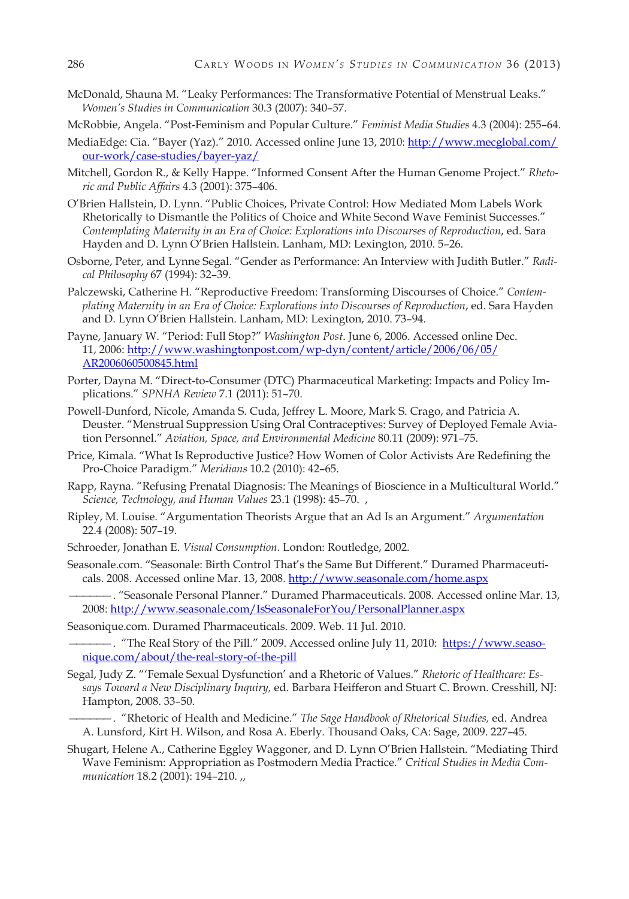- McDonald, Shauna M. "Leaky Performances: The Transformative Potential of Menstrual Leaks." *Women's Studies in Communication* 30.3 (2007): 340–57.
- McRobbie, Angela. "Post-Feminism and Popular Culture." *Feminist Media Studies* 4.3 (2004): 255–64.
- MediaEdge: Cia. "Bayer (Yaz)." 2010. Accessed online June 13, 2010: http://www.mecglobal.com/ our-work/case-studies/bayer-yaz/
- Mitchell, Gordon R., & Kelly Happe. "Informed Consent After the Human Genome Project." *Rhetoric and Public Affairs* 4.3 (2001): 375–406.
- O'Brien Hallstein, D. Lynn. "Public Choices, Private Control: How Mediated Mom Labels Work Rhetorically to Dismantle the Politics of Choice and White Second Wave Feminist Successes." *Contemplating Maternity in an Era of Choice: Explorations into Discourses of Reproduction*, ed. Sara Hayden and D. Lynn O'Brien Hallstein. Lanham, MD: Lexington, 2010. 5–26.
- Osborne, Peter, and Lynne Segal. "Gender as Performance: An Interview with Judith Butler." *Radical Philosophy* 67 (1994): 32–39.
- Palczewski, Catherine H. "Reproductive Freedom: Transforming Discourses of Choice." *Contemplating Maternity in an Era of Choice: Explorations into Discourses of Reproduction*, ed. Sara Hayden and D. Lynn O'Brien Hallstein. Lanham, MD: Lexington, 2010. 73–94.
- Payne, January W. "Period: Full Stop?" *Washington Post*. June 6, 2006. Accessed online Dec. 11, 2006: http://www.washingtonpost.com/wp-dyn/content/article/2006/06/05/ AR2006060500845.html
- Porter, Dayna M. "Direct-to-Consumer (DTC) Pharmaceutical Marketing: Impacts and Policy Implications." *SPNHA Review* 7.1 (2011): 51–70.
- Powell-Dunford, Nicole, Amanda S. Cuda, Jeffrey L. Moore, Mark S. Crago, and Patricia A. Deuster. "Menstrual Suppression Using Oral Contraceptives: Survey of Deployed Female Aviation Personnel." *Aviation, Space, and Environmental Medicine* 80.11 (2009): 971–75.
- Price, Kimala. "What Is Reproductive Justice? How Women of Color Activists Are Redefining the Pro-Choice Paradigm." *Meridians* 10.2 (2010): 42–65.
- Rapp, Rayna. "Refusing Prenatal Diagnosis: The Meanings of Bioscience in a Multicultural World." *Science, Technology, and Human Values* 23.1 (1998): 45–70. ,
- Ripley, M. Louise. "Argumentation Theorists Argue that an Ad Is an Argument." *Argumentation* 22.4 (2008): 507–19.
- Schroeder, Jonathan E. *Visual Consumption*. London: Routledge, 2002.
- Seasonale.com. "Seasonale: Birth Control That's the Same But Different." Duramed Pharmaceuticals. 2008. Accessed online Mar. 13, 2008. http://www.seasonale.com/home.aspx
	- -. "Seasonale Personal Planner." Duramed Pharmaceuticals. 2008. Accessed online Mar. 13, 2008: http://www.seasonale.com/IsSeasonaleForYou/PersonalPlanner.aspx
- Seasonique.com. Duramed Pharmaceuticals. 2009. Web. 11 Jul. 2010.
- . "The Real Story of the Pill." 2009. Accessed online July 11, 2010: https://www.seasonique.com/about/the-real-story-of-the-pill
- Segal, Judy Z. "'Female Sexual Dysfunction' and a Rhetoric of Values." *Rhetoric of Healthcare: Essays Toward a New Disciplinary Inquiry,* ed. Barbara Heifferon and Stuart C. Brown. Cresshill, NJ: Hampton, 2008. 33–50.

——————. "Rhetoric of Health and Medicine." *The Sage Handbook of Rhetorical Studies,* ed. Andrea A. Lunsford, Kirt H. Wilson, and Rosa A. Eberly. Thousand Oaks, CA: Sage, 2009. 227–45.

Shugart, Helene A., Catherine Eggley Waggoner, and D. Lynn O'Brien Hallstein. "Mediating Third Wave Feminism: Appropriation as Postmodern Media Practice." *Critical Studies in Media Communication* 18.2 (2001): 194–210. ,,